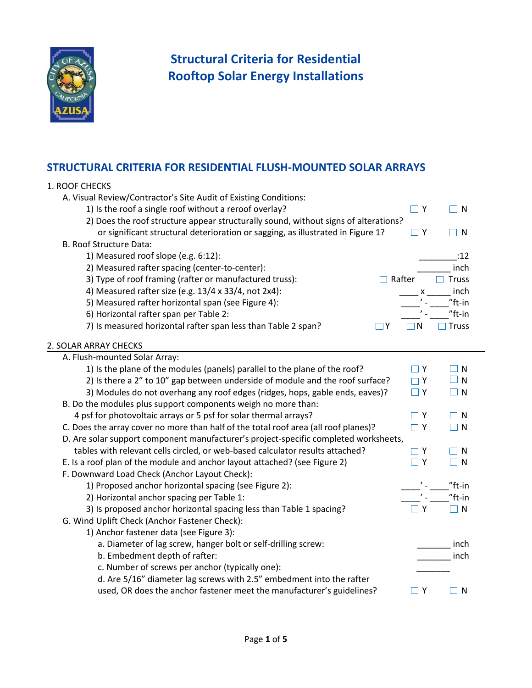

## **Structural Criteria for Residential Rooftop Solar Energy Installations**

## **STRUCTURAL CRITERIA FOR RESIDENTIAL FLUSH-MOUNTED SOLAR ARRAYS**

| 1. ROOF CHECKS                                                                       |                            |              |
|--------------------------------------------------------------------------------------|----------------------------|--------------|
| A. Visual Review/Contractor's Site Audit of Existing Conditions:                     |                            |              |
| 1) Is the roof a single roof without a reroof overlay?                               | $\sqsupset$ Y              | $\Box$ N     |
| 2) Does the roof structure appear structurally sound, without signs of alterations?  |                            |              |
| or significant structural deterioration or sagging, as illustrated in Figure 1?      | $\Box$ Y                   | $\Box$ N     |
| <b>B. Roof Structure Data:</b>                                                       |                            |              |
| 1) Measured roof slope (e.g. 6:12):                                                  |                            | :12          |
| 2) Measured rafter spacing (center-to-center):                                       |                            | inch         |
| 3) Type of roof framing (rafter or manufactured truss):                              | Rafter                     | <b>Truss</b> |
| 4) Measured rafter size (e.g. 13/4 x 33/4, not 2x4):                                 |                            | inch         |
| 5) Measured rafter horizontal span (see Figure 4):                                   |                            | $"ft-in$     |
| 6) Horizontal rafter span per Table 2:                                               |                            | $"$ ft-in    |
| 7) Is measured horizontal rafter span less than Table 2 span?<br>l IY                | N                          | <b>Truss</b> |
| 2. SOLAR ARRAY CHECKS                                                                |                            |              |
| A. Flush-mounted Solar Array:                                                        |                            |              |
| 1) Is the plane of the modules (panels) parallel to the plane of the roof?           | $\Box$ Y                   | $\Box$ N     |
| 2) Is there a 2" to 10" gap between underside of module and the roof surface?        | $\Box Y$                   | $\Box$ N     |
| 3) Modules do not overhang any roof edges (ridges, hops, gable ends, eaves)?         | $\Box$ Y                   | $\Box$ N     |
| B. Do the modules plus support components weigh no more than:                        |                            |              |
| 4 psf for photovoltaic arrays or 5 psf for solar thermal arrays?                     | $\overline{\phantom{a}}$ Y | <b>N</b>     |
| C. Does the array cover no more than half of the total roof area (all roof planes)?  | $\Box$ Y                   | $\Box$ N     |
| D. Are solar support component manufacturer's project-specific completed worksheets, |                            |              |
| tables with relevant cells circled, or web-based calculator results attached?        | $\Box$ Y                   | $\mathsf{N}$ |
| E. Is a roof plan of the module and anchor layout attached? (see Figure 2)           | $\Box$ Y                   | $\Box$ N     |
| F. Downward Load Check (Anchor Layout Check):                                        |                            |              |
| 1) Proposed anchor horizontal spacing (see Figure 2):                                |                            | $"$ ft-in    |
| 2) Horizontal anchor spacing per Table 1:                                            |                            | $"$ ft-in    |
| 3) Is proposed anchor horizontal spacing less than Table 1 spacing?                  | Y                          | $\Box$ N     |
| G. Wind Uplift Check (Anchor Fastener Check):                                        |                            |              |
| 1) Anchor fastener data (see Figure 3):                                              |                            |              |
| a. Diameter of lag screw, hanger bolt or self-drilling screw:                        |                            | inch         |
| b. Embedment depth of rafter:                                                        |                            | inch         |
| c. Number of screws per anchor (typically one):                                      |                            |              |
| d. Are 5/16" diameter lag screws with 2.5" embedment into the rafter                 |                            |              |
| used, OR does the anchor fastener meet the manufacturer's guidelines?                | $\sqsupset$ Y              | N            |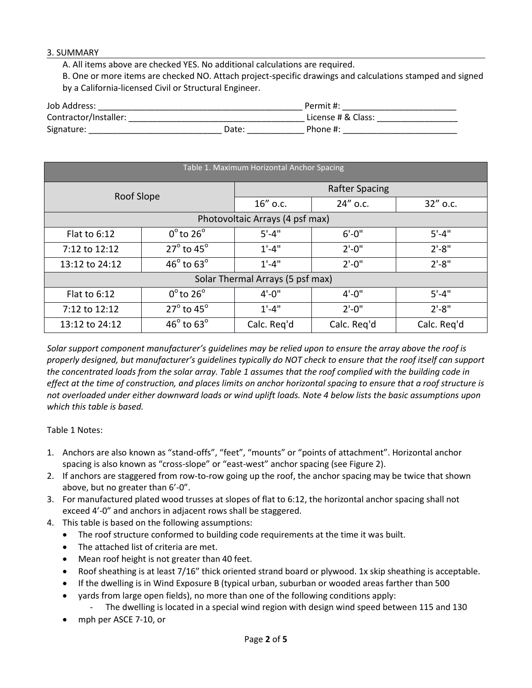## 3. SUMMARY

A. All items above are checked YES. No additional calculations are required.

B. One or more items are checked NO. Attach project-specific drawings and calculations stamped and signed by a California-licensed Civil or Structural Engineer.

| Job Address:          |       | Permit #:          |
|-----------------------|-------|--------------------|
| Contractor/Installer: |       | License # & Class: |
| Signature:            | Date: | Phone #:           |

| Table 1. Maximum Horizontal Anchor Spacing |                               |                       |             |             |  |
|--------------------------------------------|-------------------------------|-----------------------|-------------|-------------|--|
| Roof Slope                                 |                               | <b>Rafter Spacing</b> |             |             |  |
|                                            |                               | 16" o.c.              | 24" o.c.    | $32''$ o.c. |  |
| Photovoltaic Arrays (4 psf max)            |                               |                       |             |             |  |
| Flat to $6:12$                             | $0^{\circ}$ to 26 $^{\circ}$  | $5' - 4"$             | $6' - 0''$  | $5' - 4''$  |  |
| 7:12 to 12:12                              | $27^\circ$ to $45^\circ$      | $1' - 4''$            | $2'-0''$    | $2' - 8''$  |  |
| 13:12 to 24:12                             | $46^{\circ}$ to $63^{\circ}$  | $1' - 4''$            | $2'-0''$    | $2' - 8''$  |  |
| Solar Thermal Arrays (5 psf max)           |                               |                       |             |             |  |
| Flat to $6:12$                             | $0^{\circ}$ to 26 $^{\circ}$  | $4' - 0''$            | $4' - 0''$  | $5' - 4''$  |  |
| 7:12 to 12:12                              | $27^{\circ}$ to 45 $^{\circ}$ | $1' - 4''$            | $2'-0''$    | $2' - 8''$  |  |
| 13:12 to 24:12                             | $46^{\circ}$ to $63^{\circ}$  | Calc. Reg'd           | Calc. Reg'd | Calc. Reg'd |  |

*Solar support component manufacturer's guidelines may be relied upon to ensure the array above the roof is properly designed, but manufacturer's guidelines typically do NOT check to ensure that the roof itself can support the concentrated loads from the solar array. Table 1 assumes that the roof complied with the building code in effect at the time of construction, and places limits on anchor horizontal spacing to ensure that a roof structure is not overloaded under either downward loads or wind uplift loads. Note 4 below lists the basic assumptions upon which this table is based.*

Table 1 Notes:

- 1. Anchors are also known as "stand-offs", "feet", "mounts" or "points of attachment". Horizontal anchor spacing is also known as "cross-slope" or "east-west" anchor spacing (see Figure 2).
- 2. If anchors are staggered from row-to-row going up the roof, the anchor spacing may be twice that shown above, but no greater than 6'-0".
- 3. For manufactured plated wood trusses at slopes of flat to 6:12, the horizontal anchor spacing shall not exceed 4'-0" and anchors in adjacent rows shall be staggered.
- 4. This table is based on the following assumptions:
	- The roof structure conformed to building code requirements at the time it was built.
	- The attached list of criteria are met.
	- Mean roof height is not greater than 40 feet.
	- Roof sheathing is at least 7/16" thick oriented strand board or plywood. 1x skip sheathing is acceptable.
	- If the dwelling is in Wind Exposure B (typical urban, suburban or wooded areas farther than 500
	- yards from large open fields), no more than one of the following conditions apply:
		- The dwelling is located in a special wind region with design wind speed between 115 and 130
	- mph per ASCE 7-10, or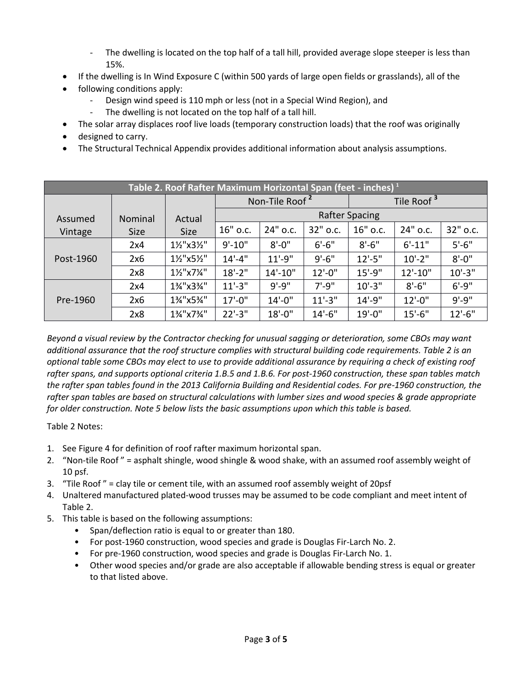- The dwelling is located on the top half of a tall hill, provided average slope steeper is less than 15%.
- If the dwelling is In Wind Exposure C (within 500 yards of large open fields or grasslands), all of the
- following conditions apply:
	- Design wind speed is 110 mph or less (not in a Special Wind Region), and
	- The dwelling is not located on the top half of a tall hill.
- The solar array displaces roof live loads (temporary construction loads) that the roof was originally
- designed to carry.
- The Structural Technical Appendix provides additional information about analysis assumptions.

| Table 2. Roof Rafter Maximum Horizontal Span (feet - inches) <sup>1</sup> |             |             |                            |              |            |                        |            |             |
|---------------------------------------------------------------------------|-------------|-------------|----------------------------|--------------|------------|------------------------|------------|-------------|
|                                                                           |             |             | Non-Tile Roof <sup>2</sup> |              |            | Tile Roof <sup>3</sup> |            |             |
| Assumed                                                                   | Nominal     | Actual      | <b>Rafter Spacing</b>      |              |            |                        |            |             |
| Vintage                                                                   | <b>Size</b> | <b>Size</b> | 16" o.c.                   | 24" o.c.     | 32" o.c.   | 16" o.c.               | 24" o.c.   | 32" o.c.    |
| Post-1960                                                                 | 2x4         | 11/2"x31/2" | $9' - 10"$                 | $8' - 0''$   | $6' - 6''$ | $8' - 6''$             | $6' - 11"$ | $5'-6''$    |
|                                                                           | 2x6         | 11/2"x51/2" | $14' - 4''$                | $11' - 9''$  | $9' - 6''$ | $12'-5''$              | $10'-2$ "  | $8' - 0''$  |
|                                                                           | 2x8         | 11/2"x71/4" | $18'-2$ "                  | $14' - 10''$ | $12'-0$ "  | $15'-9''$              | $12'-10''$ | $10' - 3''$ |
| Pre-1960                                                                  | 2x4         | 1%"x3%"     | $11'-3$ "                  | $9' - 9''$   | $7' - 9''$ | $10' - 3''$            | $8' - 6''$ | $6' - 9''$  |
|                                                                           | 2x6         | 1%"x5%"     | $17' - 0''$                | $14'-0''$    | $11'-3$ "  | $14' - 9''$            | $12'-0''$  | $9' - 9''$  |
|                                                                           | 2x8         | 1%"x7%"     | $22'-3''$                  | $18' - 0''$  | $14'-6''$  | $19' - 0''$            | $15'-6''$  | $12'-6''$   |

*Beyond a visual review by the Contractor checking for unusual sagging or deterioration, some CBOs may want additional assurance that the roof structure complies with structural building code requirements. Table 2 is an optional table some CBOs may elect to use to provide additional assurance by requiring a check of existing roof rafter spans, and supports optional criteria 1.B.5 and 1.B.6. For post-1960 construction, these span tables match the rafter span tables found in the 2013 California Building and Residential codes. For pre-1960 construction, the rafter span tables are based on structural calculations with lumber sizes and wood species & grade appropriate for older construction. Note 5 below lists the basic assumptions upon which this table is based.*

Table 2 Notes:

- 1. See Figure 4 for definition of roof rafter maximum horizontal span.
- 2. "Non-tile Roof " = asphalt shingle, wood shingle & wood shake, with an assumed roof assembly weight of 10 psf.
- 3. "Tile Roof " = clay tile or cement tile, with an assumed roof assembly weight of 20psf
- 4. Unaltered manufactured plated-wood trusses may be assumed to be code compliant and meet intent of Table 2.
- 5. This table is based on the following assumptions:
	- Span/deflection ratio is equal to or greater than 180.
	- For post-1960 construction, wood species and grade is Douglas Fir-Larch No. 2.
	- For pre-1960 construction, wood species and grade is Douglas Fir-Larch No. 1.
	- Other wood species and/or grade are also acceptable if allowable bending stress is equal or greater to that listed above.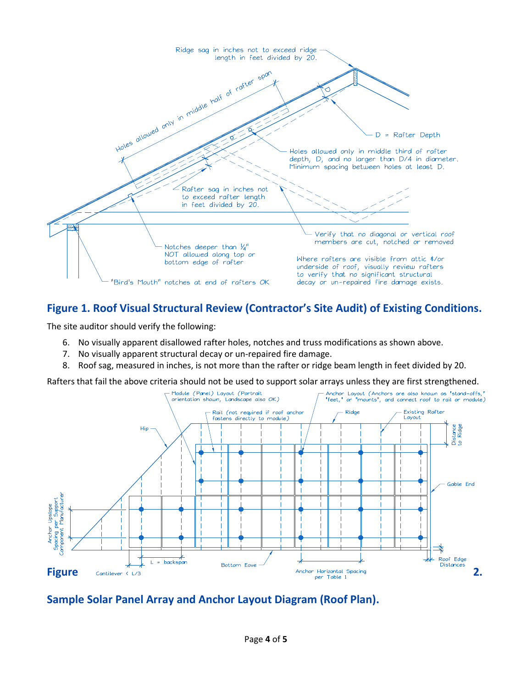

## **Figure 1. Roof Visual Structural Review (Contractor's Site Audit) of Existing Conditions.**

The site auditor should verify the following:

- 6. No visually apparent disallowed rafter holes, notches and truss modifications as shown above.
- 7. No visually apparent structural decay or un-repaired fire damage.
- 8. Roof sag, measured in inches, is not more than the rafter or ridge beam length in feet divided by 20.

Rafters that fail the above criteria should not be used to support solar arrays unless they are first strengthened.



**Sample Solar Panel Array and Anchor Layout Diagram (Roof Plan).**